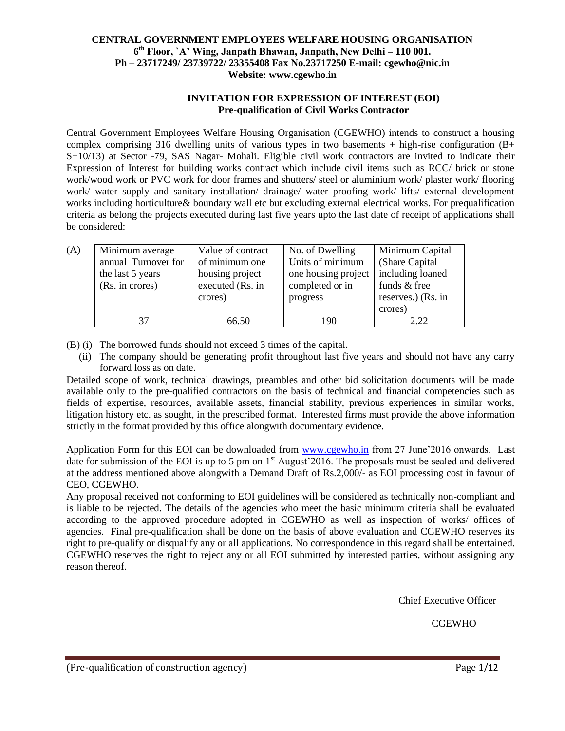## **CENTRAL GOVERNMENT EMPLOYEES WELFARE HOUSING ORGANISATION 6 th Floor, `A' Wing, Janpath Bhawan, Janpath, New Delhi – 110 001. Ph – 23717249/ 23739722/ 23355408 Fax No.23717250 E-mail: cgewho@nic.in Website: www.cgewho.in**

# **INVITATION FOR EXPRESSION OF INTEREST (EOI) Pre-qualification of Civil Works Contractor**

Central Government Employees Welfare Housing Organisation (CGEWHO) intends to construct a housing complex comprising 316 dwelling units of various types in two basements  $+$  high-rise configuration (B+ S+10/13) at Sector -79, SAS Nagar- Mohali. Eligible civil work contractors are invited to indicate their Expression of Interest for building works contract which include civil items such as RCC/ brick or stone work/wood work or PVC work for door frames and shutters/ steel or aluminium work/ plaster work/ flooring work/ water supply and sanitary installation/ drainage/ water proofing work/ lifts/ external development works including horticulture& boundary wall etc but excluding external electrical works. For prequalification criteria as belong the projects executed during last five years upto the last date of receipt of applications shall be considered:

| (A) | Minimum average     | Value of contract | No. of Dwelling     | Minimum Capital    |
|-----|---------------------|-------------------|---------------------|--------------------|
|     | annual Turnover for | of minimum one    | Units of minimum    | (Share Capital)    |
|     | the last 5 years    | housing project   | one housing project | including loaned   |
|     | (Rs. in crores)     | executed (Rs. in  | completed or in     | funds & free       |
|     |                     | crores)           | progress            | reserves.) (Rs. in |
|     |                     |                   |                     | crores)            |
|     | 37                  | 66.50             | 190                 | 2.22               |

(B) (i) The borrowed funds should not exceed 3 times of the capital.

(ii) The company should be generating profit throughout last five years and should not have any carry forward loss as on date.

Detailed scope of work, technical drawings, preambles and other bid solicitation documents will be made available only to the pre-qualified contractors on the basis of technical and financial competencies such as fields of expertise, resources, available assets, financial stability, previous experiences in similar works, litigation history etc. as sought, in the prescribed format. Interested firms must provide the above information strictly in the format provided by this office alongwith documentary evidence.

Application Form for this EOI can be downloaded from [www.cgewho.in](http://www.cgewho.in/) from 27 June'2016 onwards. Last date for submission of the EOI is up to 5 pm on  $1<sup>st</sup>$  August'2016. The proposals must be sealed and delivered at the address mentioned above alongwith a Demand Draft of Rs.2,000/- as EOI processing cost in favour of CEO, CGEWHO.

Any proposal received not conforming to EOI guidelines will be considered as technically non-compliant and is liable to be rejected. The details of the agencies who meet the basic minimum criteria shall be evaluated according to the approved procedure adopted in CGEWHO as well as inspection of works/ offices of agencies. Final pre-qualification shall be done on the basis of above evaluation and CGEWHO reserves its right to pre-qualify or disqualify any or all applications. No correspondence in this regard shall be entertained. CGEWHO reserves the right to reject any or all EOI submitted by interested parties, without assigning any reason thereof.

Chief Executive Officer

CGEWHO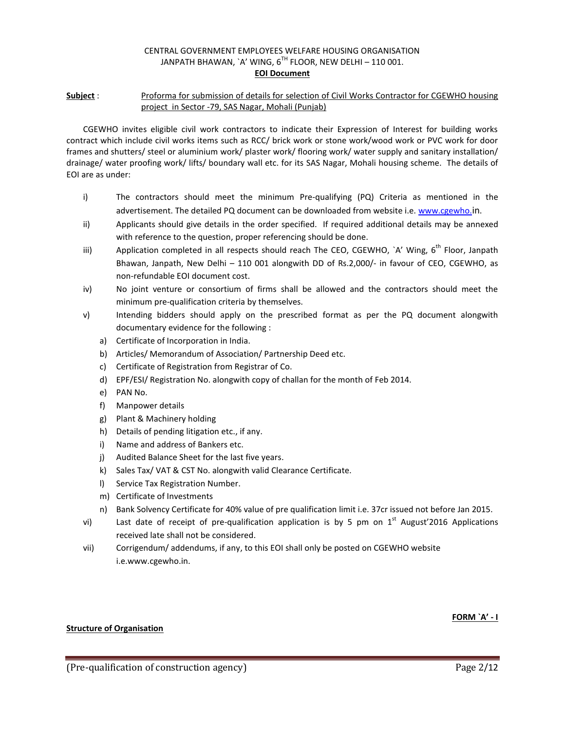#### CENTRAL GOVERNMENT EMPLOYEES WELFARE HOUSING ORGANISATION JANPATH BHAWAN, `A' WING,  $6^{TH}$  FLOOR, NEW DELHI – 110 001. **EOI Document**

## **Subject** : Proforma for submission of details for selection of Civil Works Contractor for CGEWHO housing project in Sector -79, SAS Nagar, Mohali (Punjab)

CGEWHO invites eligible civil work contractors to indicate their Expression of Interest for building works contract which include civil works items such as RCC/ brick work or stone work/wood work or PVC work for door frames and shutters/ steel or aluminium work/ plaster work/ flooring work/ water supply and sanitary installation/ drainage/ water proofing work/ lifts/ boundary wall etc. for its SAS Nagar, Mohali housing scheme. The details of EOI are as under:

- i) The contractors should meet the minimum Pre-qualifying (PQ) Criteria as mentioned in the advertisement. The detailed PQ document can be downloaded from website i.e[. www.cgewho.](http://www.cgewho./)in.
- ii) Applicants should give details in the order specified. If required additional details may be annexed with reference to the question, proper referencing should be done.
- iii) Application completed in all respects should reach The CEO, CGEWHO, `A' Wing,  $6<sup>th</sup>$  Floor, Janpath Bhawan, Janpath, New Delhi – 110 001 alongwith DD of Rs.2,000/- in favour of CEO, CGEWHO, as non-refundable EOI document cost.
- iv) No joint venture or consortium of firms shall be allowed and the contractors should meet the minimum pre-qualification criteria by themselves.
- v) Intending bidders should apply on the prescribed format as per the PQ document alongwith documentary evidence for the following :
	- a) Certificate of Incorporation in India.
	- b) Articles/ Memorandum of Association/ Partnership Deed etc.
	- c) Certificate of Registration from Registrar of Co.
	- d) EPF/ESI/ Registration No. alongwith copy of challan for the month of Feb 2014.
	- e) PAN No.
	- f) Manpower details
	- g) Plant & Machinery holding
	- h) Details of pending litigation etc., if any.
	- i) Name and address of Bankers etc.
	- j) Audited Balance Sheet for the last five years.
	- k) Sales Tax/ VAT & CST No. alongwith valid Clearance Certificate.
	- l) Service Tax Registration Number.
	- m) Certificate of Investments
	- n) Bank Solvency Certificate for 40% value of pre qualification limit i.e. 37cr issued not before Jan 2015.
- vi) Last date of receipt of pre-qualification application is by 5 pm on  $1^{st}$  August'2016 Applications received late shall not be considered.
- vii) Corrigendum/ addendums, if any, to this EOI shall only be posted on CGEWHO website i.e.www.cgewho.in.

#### **FORM `A' - I**

#### **Structure of Organisation**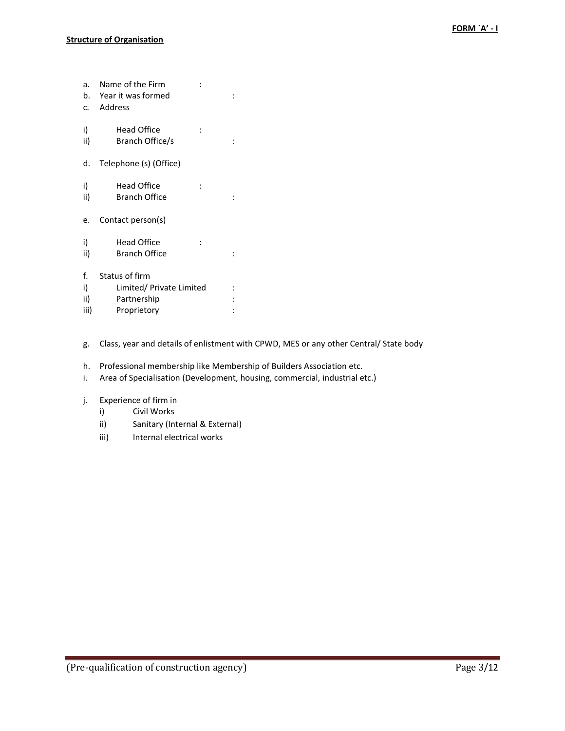| a.<br>c.  | Name of the Firm<br>b. Year it was formed<br>Address |  |
|-----------|------------------------------------------------------|--|
| i)<br>ii) | Head Office<br>Branch Office/s                       |  |
| d.        | Telephone (s) (Office)                               |  |
| i)<br>ii) | Head Office<br><b>Branch Office</b>                  |  |
| e.        | Contact person(s)                                    |  |
| i)<br>ii) | <b>Head Office</b><br><b>Branch Office</b>           |  |
| f.        | Status of firm                                       |  |
| i)        | Limited/ Private Limited                             |  |
| ii)       | Partnership                                          |  |
| iii)      | Proprietory                                          |  |

- g. Class, year and details of enlistment with CPWD, MES or any other Central/ State body
- h. Professional membership like Membership of Builders Association etc.
- i. Area of Specialisation (Development, housing, commercial, industrial etc.)
- j. Experience of firm in
	- i) Civil Works
	- ii) Sanitary (Internal & External)
	- iii) Internal electrical works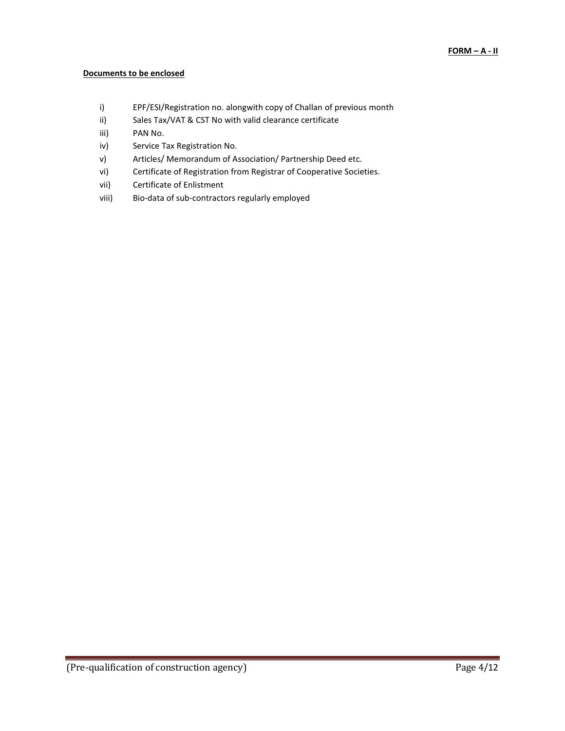### **Documents to be enclosed**

- i) EPF/ESI/Registration no. alongwith copy of Challan of previous month
- ii) Sales Tax/VAT & CST No with valid clearance certificate
- iii) PAN No.
- iv) Service Tax Registration No.
- v) Articles/ Memorandum of Association/ Partnership Deed etc.
- vi) Certificate of Registration from Registrar of Cooperative Societies.
- vii) Certificate of Enlistment
- viii) Bio-data of sub-contractors regularly employed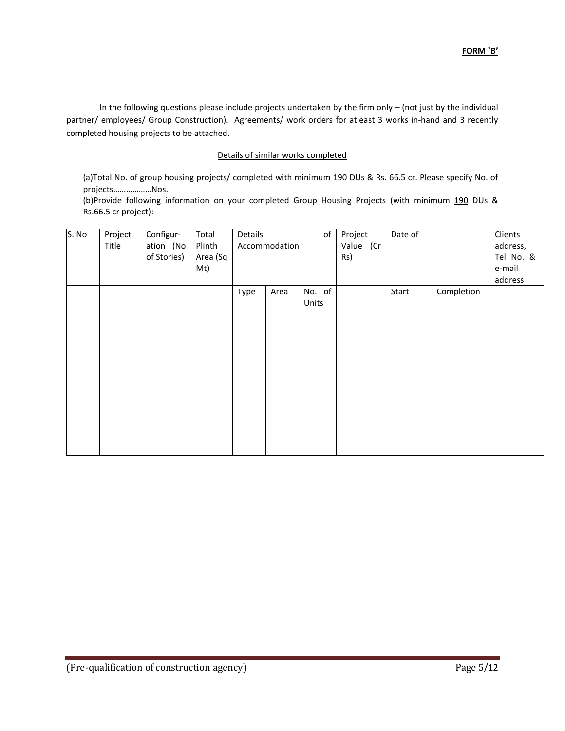In the following questions please include projects undertaken by the firm only – (not just by the individual partner/ employees/ Group Construction). Agreements/ work orders for atleast 3 works in-hand and 3 recently completed housing projects to be attached.

### Details of similar works completed

(a)Total No. of group housing projects/ completed with minimum 190 DUs & Rs. 66.5 cr. Please specify No. of projects………………Nos.

(b)Provide following information on your completed Group Housing Projects (with minimum 190 DUs & Rs.66.5 cr project):

| S. No | Project<br>Title | Configur-<br>ation (No<br>of Stories) | Total<br>Plinth<br>Area (Sq<br>Mt) | Details | Accommodation | of              | Project<br>Value (Cr<br>Rs) | Date of |            | Clients<br>address,<br>Tel No. &<br>e-mail<br>address |
|-------|------------------|---------------------------------------|------------------------------------|---------|---------------|-----------------|-----------------------------|---------|------------|-------------------------------------------------------|
|       |                  |                                       |                                    | Type    | Area          | No. of<br>Units |                             | Start   | Completion |                                                       |
|       |                  |                                       |                                    |         |               |                 |                             |         |            |                                                       |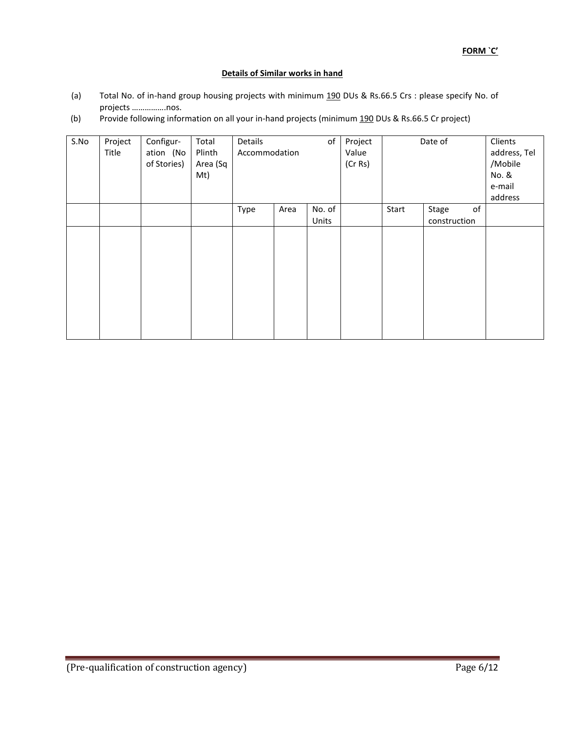#### **Details of Similar works in hand**

- (a) Total No. of in-hand group housing projects with minimum 190 DUs & Rs.66.5 Crs : please specify No. of projects …………….nos.
- (b) Provide following information on all your in-hand projects (minimum 190 DUs & Rs.66.5 Cr project)

| S.No | Project<br>Title | Configur-<br>ation (No<br>of Stories) | Total<br>Plinth<br>Area (Sq<br>Mt) | Details<br>Accommodation |      | оf              | Project<br>Value<br>(Cr Rs) |       | Date of                     | Clients<br>address, Tel<br>/Mobile<br>No. &<br>e-mail<br>address |
|------|------------------|---------------------------------------|------------------------------------|--------------------------|------|-----------------|-----------------------------|-------|-----------------------------|------------------------------------------------------------------|
|      |                  |                                       |                                    | Type                     | Area | No. of<br>Units |                             | Start | Stage<br>of<br>construction |                                                                  |
|      |                  |                                       |                                    |                          |      |                 |                             |       |                             |                                                                  |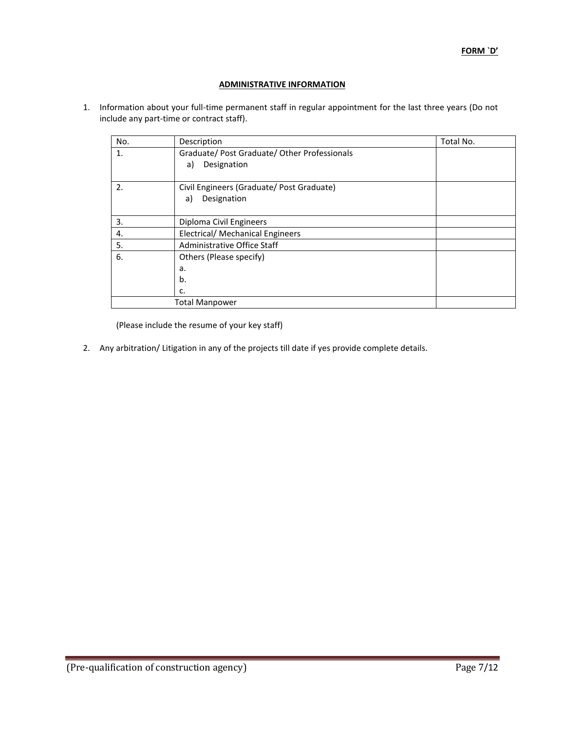## **ADMINISTRATIVE INFORMATION**

1. Information about your full-time permanent staff in regular appointment for the last three years (Do not include any part-time or contract staff).

| No. | Description                                  | Total No. |
|-----|----------------------------------------------|-----------|
| 1.  | Graduate/ Post Graduate/ Other Professionals |           |
|     | Designation<br>a)                            |           |
|     |                                              |           |
| 2.  | Civil Engineers (Graduate/ Post Graduate)    |           |
|     | Designation<br>a)                            |           |
|     |                                              |           |
| 3.  | Diploma Civil Engineers                      |           |
| 4.  | <b>Electrical/ Mechanical Engineers</b>      |           |
| 5.  | Administrative Office Staff                  |           |
| 6.  | Others (Please specify)                      |           |
|     | a.                                           |           |
|     | b.                                           |           |
|     | c.                                           |           |
|     | <b>Total Manpower</b>                        |           |

(Please include the resume of your key staff)

2. Any arbitration/ Litigation in any of the projects till date if yes provide complete details.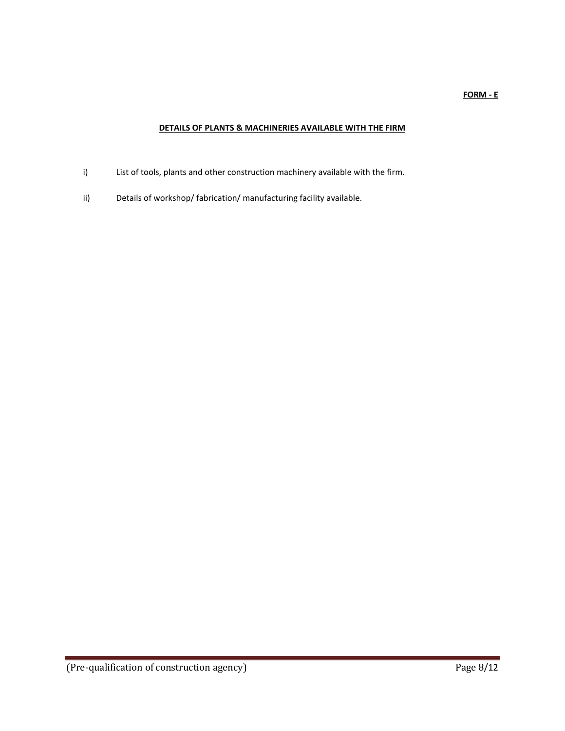#### **FORM - E**

# **DETAILS OF PLANTS & MACHINERIES AVAILABLE WITH THE FIRM**

- i) List of tools, plants and other construction machinery available with the firm.
- ii) Details of workshop/ fabrication/ manufacturing facility available.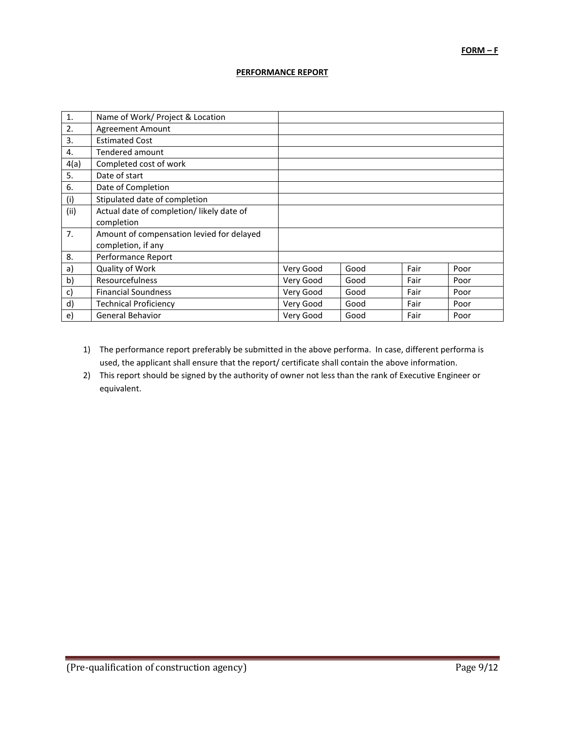#### **PERFORMANCE REPORT**

| 1.   | Name of Work/ Project & Location          |           |      |      |      |
|------|-------------------------------------------|-----------|------|------|------|
| 2.   | Agreement Amount                          |           |      |      |      |
| 3.   | <b>Estimated Cost</b>                     |           |      |      |      |
| 4.   | Tendered amount                           |           |      |      |      |
| 4(a) | Completed cost of work                    |           |      |      |      |
| 5.   | Date of start                             |           |      |      |      |
| 6.   | Date of Completion                        |           |      |      |      |
| (i)  | Stipulated date of completion             |           |      |      |      |
| (ii) | Actual date of completion/ likely date of |           |      |      |      |
|      | completion                                |           |      |      |      |
| 7.   | Amount of compensation levied for delayed |           |      |      |      |
|      | completion, if any                        |           |      |      |      |
| 8.   | Performance Report                        |           |      |      |      |
| a)   | Quality of Work                           | Very Good | Good | Fair | Poor |
| b)   | <b>Resourcefulness</b>                    | Very Good | Good | Fair | Poor |
| c)   | <b>Financial Soundness</b>                | Very Good | Good | Fair | Poor |
| d)   | <b>Technical Proficiency</b>              | Very Good | Good | Fair | Poor |
| e)   | <b>General Behavior</b>                   | Very Good | Good | Fair | Poor |

- 1) The performance report preferably be submitted in the above performa. In case, different performa is used, the applicant shall ensure that the report/ certificate shall contain the above information.
- 2) This report should be signed by the authority of owner not less than the rank of Executive Engineer or equivalent.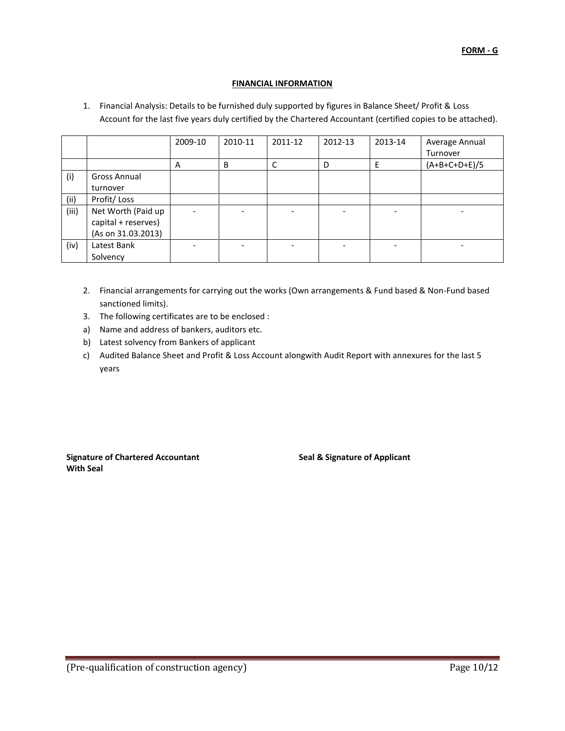## **FINANCIAL INFORMATION**

1. Financial Analysis: Details to be furnished duly supported by figures in Balance Sheet/ Profit & Loss Account for the last five years duly certified by the Chartered Accountant (certified copies to be attached).

|       |                     | 2009-10                  | 2010-11 | 2011-12 | 2012-13 | 2013-14                  | Average Annual  |
|-------|---------------------|--------------------------|---------|---------|---------|--------------------------|-----------------|
|       |                     |                          |         |         |         |                          | Turnover        |
|       |                     | A                        | B       | C       | D       | E                        | $(A+B+C+D+E)/5$ |
| (i)   | <b>Gross Annual</b> |                          |         |         |         |                          |                 |
|       | turnover            |                          |         |         |         |                          |                 |
| (ii)  | Profit/Loss         |                          |         |         |         |                          |                 |
| (iii) | Net Worth (Paid up  | $\overline{\phantom{a}}$ |         |         |         | $\overline{\phantom{0}}$ |                 |
|       | capital + reserves) |                          |         |         |         |                          |                 |
|       | (As on 31.03.2013)  |                          |         |         |         |                          |                 |
| (iv)  | Latest Bank         |                          |         |         |         |                          |                 |
|       | Solvency            |                          |         |         |         |                          |                 |

- 2. Financial arrangements for carrying out the works (Own arrangements & Fund based & Non-Fund based sanctioned limits).
- 3. The following certificates are to be enclosed :
- a) Name and address of bankers, auditors etc.
- b) Latest solvency from Bankers of applicant
- c) Audited Balance Sheet and Profit & Loss Account alongwith Audit Report with annexures for the last 5 years

**Signature of Chartered Accountant Seal & Signature of Applicant With Seal**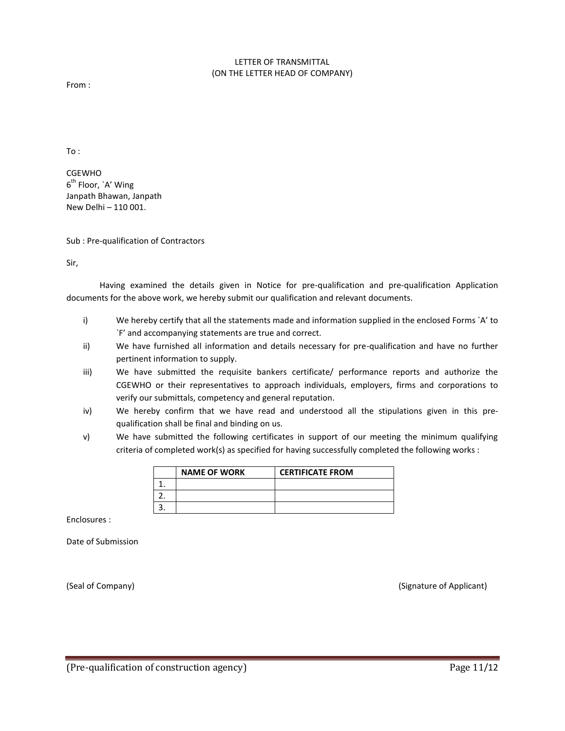#### LETTER OF TRANSMITTAL (ON THE LETTER HEAD OF COMPANY)

From :

To :

CGEWHO 6<sup>th</sup> Floor, `A' Wing Janpath Bhawan, Janpath New Delhi – 110 001.

Sub : Pre-qualification of Contractors

Sir,

Having examined the details given in Notice for pre-qualification and pre-qualification Application documents for the above work, we hereby submit our qualification and relevant documents.

- i) We hereby certify that all the statements made and information supplied in the enclosed Forms `A' to `F' and accompanying statements are true and correct.
- ii) We have furnished all information and details necessary for pre-qualification and have no further pertinent information to supply.
- iii) We have submitted the requisite bankers certificate/ performance reports and authorize the CGEWHO or their representatives to approach individuals, employers, firms and corporations to verify our submittals, competency and general reputation.
- iv) We hereby confirm that we have read and understood all the stipulations given in this prequalification shall be final and binding on us.
- v) We have submitted the following certificates in support of our meeting the minimum qualifying criteria of completed work(s) as specified for having successfully completed the following works :

| <b>NAME OF WORK</b> | <b>CERTIFICATE FROM</b> |
|---------------------|-------------------------|
|                     |                         |
|                     |                         |
|                     |                         |

Enclosures :

Date of Submission

(Seal of Company) (Signature of Applicant)